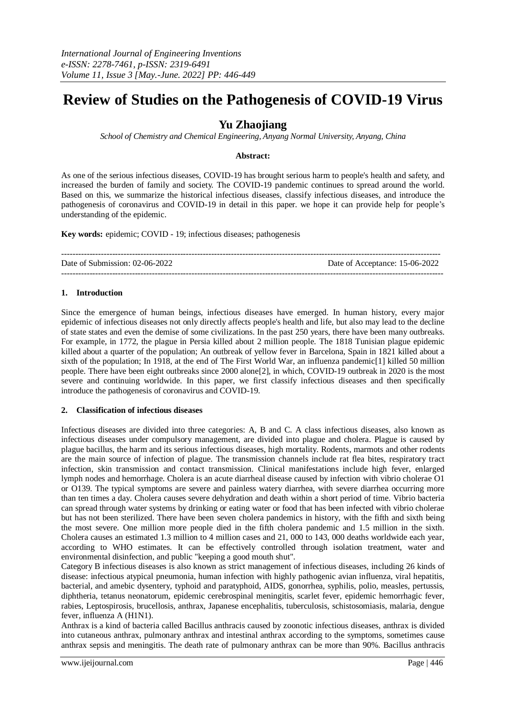# **Review of Studies on the Pathogenesis of COVID-19 Virus**

# **Yu Zhaojiang**

*School of Chemistry and Chemical Engineering, Anyang Normal University, Anyang, China*

## **Abstract:**

As one of the serious infectious diseases, COVID-19 has brought serious harm to people's health and safety, and increased the burden of family and society. The COVID-19 pandemic continues to spread around the world. Based on this, we summarize the historical infectious diseases, classify infectious diseases, and introduce the pathogenesis of coronavirus and COVID-19 in detail in this paper. we hope it can provide help for people's understanding of the epidemic.

**Key words:** epidemic; COVID - 19; infectious diseases; pathogenesis

| Date of Submission: 02-06-2022 | Date of Acceptance: 15-06-2022 |
|--------------------------------|--------------------------------|
|                                |                                |

## **1. Introduction**

Since the emergence of human beings, infectious diseases have emerged. In human history, every major epidemic of infectious diseases not only directly affects people's health and life, but also may lead to the decline of state states and even the demise of some civilizations. In the past 250 years, there have been many outbreaks. For example, in 1772, the plague in Persia killed about 2 million people. The 1818 Tunisian plague epidemic killed about a quarter of the population; An outbreak of yellow fever in Barcelona, Spain in 1821 killed about a sixth of the population; In 1918, at the end of The First World War, an influenza pandemic[1] killed 50 million people. There have been eight outbreaks since 2000 alone[2], in which, COVID-19 outbreak in 2020 is the most severe and continuing worldwide. In this paper, we first classify infectious diseases and then specifically introduce the pathogenesis of coronavirus and COVID-19.

## **2. Classification of infectious diseases**

Infectious diseases are divided into three categories: A, B and C. A class infectious diseases, also known as infectious diseases under compulsory management, are divided into plague and cholera. Plague is caused by plague bacillus, the harm and its serious infectious diseases, high mortality. Rodents, marmots and other rodents are the main source of infection of plague. The transmission channels include rat flea bites, respiratory tract infection, skin transmission and contact transmission. Clinical manifestations include high fever, enlarged lymph nodes and hemorrhage. Cholera is an acute diarrheal disease caused by infection with vibrio cholerae O1 or O139. The typical symptoms are severe and painless watery diarrhea, with severe diarrhea occurring more than ten times a day. Cholera causes severe dehydration and death within a short period of time. Vibrio bacteria can spread through water systems by drinking or eating water or food that has been infected with vibrio cholerae but has not been sterilized. There have been seven cholera pandemics in history, with the fifth and sixth being the most severe. One million more people died in the fifth cholera pandemic and 1.5 million in the sixth. Cholera causes an estimated 1.3 million to 4 million cases and 21, 000 to 143, 000 deaths worldwide each year, according to WHO estimates. It can be effectively controlled through isolation treatment, water and environmental disinfection, and public "keeping a good mouth shut".

Category B infectious diseases is also known as strict management of infectious diseases, including 26 kinds of disease: infectious atypical pneumonia, human infection with highly pathogenic avian influenza, viral hepatitis, bacterial, and amebic dysentery, typhoid and paratyphoid, AIDS, gonorrhea, syphilis, polio, measles, pertussis, diphtheria, tetanus neonatorum, epidemic cerebrospinal meningitis, scarlet fever, epidemic hemorrhagic fever, rabies, Leptospirosis, brucellosis, anthrax, Japanese encephalitis, tuberculosis, schistosomiasis, malaria, dengue fever, influenza A (H1N1).

Anthrax is a kind of bacteria called Bacillus anthracis caused by zoonotic infectious diseases, anthrax is divided into cutaneous anthrax, pulmonary anthrax and intestinal anthrax according to the symptoms, sometimes cause anthrax sepsis and meningitis. The death rate of pulmonary anthrax can be more than 90%. Bacillus anthracis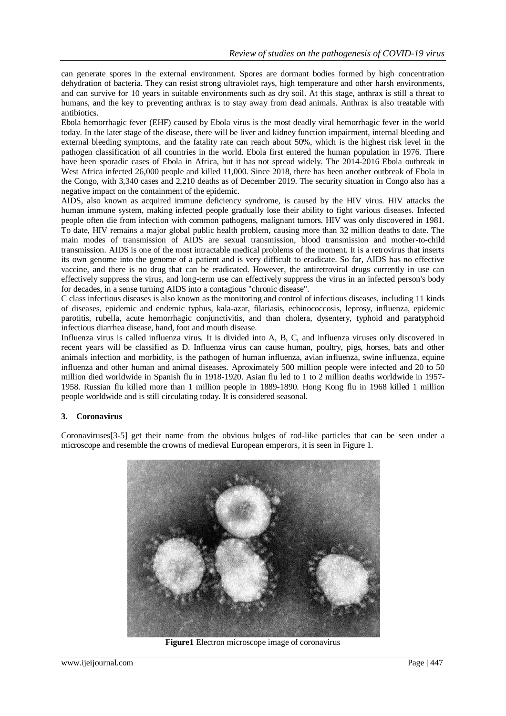can generate spores in the external environment. Spores are dormant bodies formed by high concentration dehydration of bacteria. They can resist strong ultraviolet rays, high temperature and other harsh environments, and can survive for 10 years in suitable environments such as dry soil. At this stage, anthrax is still a threat to humans, and the key to preventing anthrax is to stay away from dead animals. Anthrax is also treatable with antibiotics.

Ebola hemorrhagic fever (EHF) caused by Ebola virus is the most deadly viral hemorrhagic fever in the world today. In the later stage of the disease, there will be liver and kidney function impairment, internal bleeding and external bleeding symptoms, and the fatality rate can reach about 50%, which is the highest risk level in the pathogen classification of all countries in the world. Ebola first entered the human population in 1976. There have been sporadic cases of Ebola in Africa, but it has not spread widely. The 2014-2016 Ebola outbreak in West Africa infected 26,000 people and killed 11,000. Since 2018, there has been another outbreak of Ebola in the Congo, with 3,340 cases and 2,210 deaths as of December 2019. The security situation in Congo also has a negative impact on the containment of the epidemic.

AIDS, also known as acquired immune deficiency syndrome, is caused by the HIV virus. HIV attacks the human immune system, making infected people gradually lose their ability to fight various diseases. Infected people often die from infection with common pathogens, malignant tumors. HIV was only discovered in 1981. To date, HIV remains a major global public health problem, causing more than 32 million deaths to date. The main modes of transmission of AIDS are sexual transmission, blood transmission and mother-to-child transmission. AIDS is one of the most intractable medical problems of the moment. It is a retrovirus that inserts its own genome into the genome of a patient and is very difficult to eradicate. So far, AIDS has no effective vaccine, and there is no drug that can be eradicated. However, the antiretroviral drugs currently in use can effectively suppress the virus, and long-term use can effectively suppress the virus in an infected person's body for decades, in a sense turning AIDS into a contagious "chronic disease".

C class infectious diseases is also known as the monitoring and control of infectious diseases, including 11 kinds of diseases, epidemic and endemic typhus, kala-azar, filariasis, echinococcosis, leprosy, influenza, epidemic parotitis, rubella, acute hemorrhagic conjunctivitis, and than cholera, dysentery, typhoid and paratyphoid infectious diarrhea disease, hand, foot and mouth disease.

Influenza virus is called influenza virus. It is divided into A, B, C, and influenza viruses only discovered in recent years will be classified as D. Influenza virus can cause human, poultry, pigs, horses, bats and other animals infection and morbidity, is the pathogen of human influenza, avian influenza, swine influenza, equine influenza and other human and animal diseases. Aproximately 500 million people were infected and 20 to 50 million died worldwide in Spanish flu in 1918-1920. Asian flu led to 1 to 2 million deaths worldwide in 1957- 1958. Russian flu killed more than 1 million people in 1889-1890. Hong Kong flu in 1968 killed 1 million people worldwide and is still circulating today. It is considered seasonal.

# **3. Coronavirus**

Coronaviruses[3-5] get their name from the obvious bulges of rod-like particles that can be seen under a microscope and resemble the crowns of medieval European emperors, it is seen in Figure 1.



**Figure1** Electron microscope image of coronavirus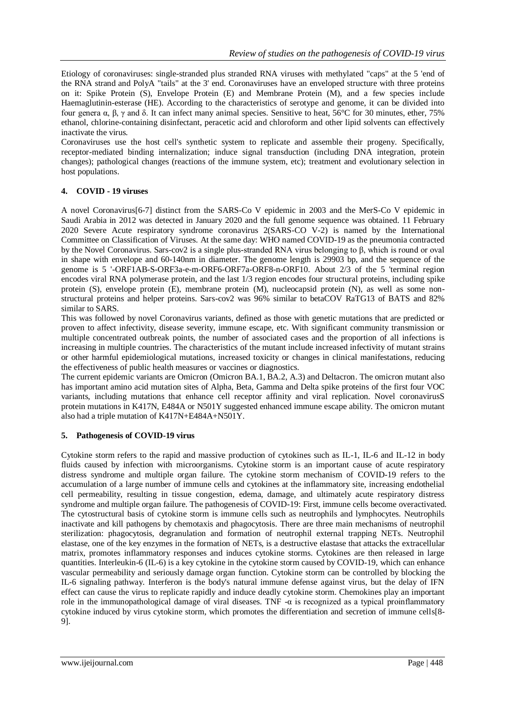Etiology of coronaviruses: single-stranded plus stranded RNA viruses with methylated "caps" at the 5 'end of the RNA strand and PolyA "tails" at the 3' end. Coronaviruses have an enveloped structure with three proteins on it: Spike Protein (S), Envelope Protein (E) and Membrane Protein (M), and a few species include Haemaglutinin-esterase (HE). According to the characteristics of serotype and genome, it can be divided into four genera α, β, γ and δ. It can infect many animal species. Sensitive to heat, 56°C for 30 minutes, ether, 75% ethanol, chlorine-containing disinfectant, peracetic acid and chloroform and other lipid solvents can effectively inactivate the virus.

Coronaviruses use the host cell's synthetic system to replicate and assemble their progeny. Specifically, receptor-mediated binding internalization; induce signal transduction (including DNA integration, protein changes); pathological changes (reactions of the immune system, etc); treatment and evolutionary selection in host populations.

# **4. COVID - 19 viruses**

A novel Coronavirus[6-7] distinct from the SARS-Co V epidemic in 2003 and the MerS-Co V epidemic in Saudi Arabia in 2012 was detected in January 2020 and the full genome sequence was obtained. 11 February 2020 Severe Acute respiratory syndrome coronavirus 2(SARS-CO V-2) is named by the International Committee on Classification of Viruses. At the same day: WHO named COVID-19 as the pneumonia contracted by the Novel Coronavirus. Sars-cov2 is a single plus-stranded RNA virus belonging to β, which is round or oval in shape with envelope and 60-140nm in diameter. The genome length is 29903 bp, and the sequence of the genome is 5 '-ORF1AB-S-ORF3a-e-m-ORF6-ORF7a-ORF8-n-ORF10. About 2/3 of the 5 'terminal region encodes viral RNA polymerase protein, and the last 1/3 region encodes four structural proteins, including spike protein (S), envelope protein (E), membrane protein (M), nucleocapsid protein (N), as well as some nonstructural proteins and helper proteins. Sars-cov2 was 96% similar to betaCOV RaTG13 of BATS and 82% similar to SARS.

This was followed by novel Coronavirus variants, defined as those with genetic mutations that are predicted or proven to affect infectivity, disease severity, immune escape, etc. With significant community transmission or multiple concentrated outbreak points, the number of associated cases and the proportion of all infections is increasing in multiple countries. The characteristics of the mutant include increased infectivity of mutant strains or other harmful epidemiological mutations, increased toxicity or changes in clinical manifestations, reducing the effectiveness of public health measures or vaccines or diagnostics.

The current epidemic variants are Omicron (Omicron BA.1, BA.2, A.3) and Deltacron. The omicron mutant also has important amino acid mutation sites of Alpha, Beta, Gamma and Delta spike proteins of the first four VOC variants, including mutations that enhance cell receptor affinity and viral replication. Novel coronavirusS protein mutations in K417N, E484A or N501Y suggested enhanced immune escape ability. The omicron mutant also had a triple mutation of K417N+E484A+N501Y.

# **5. Pathogenesis of COVID-19 virus**

Cytokine storm refers to the rapid and massive production of cytokines such as IL-1, IL-6 and IL-12 in body fluids caused by infection with microorganisms. Cytokine storm is an important cause of acute respiratory distress syndrome and multiple organ failure. The cytokine storm mechanism of COVID-19 refers to the accumulation of a large number of immune cells and cytokines at the inflammatory site, increasing endothelial cell permeability, resulting in tissue congestion, edema, damage, and ultimately acute respiratory distress syndrome and multiple organ failure. The pathogenesis of COVID-19: First, immune cells become overactivated. The cytostructural basis of cytokine storm is immune cells such as neutrophils and lymphocytes. Neutrophils inactivate and kill pathogens by chemotaxis and phagocytosis. There are three main mechanisms of neutrophil sterilization: phagocytosis, degranulation and formation of neutrophil external trapping NETs. Neutrophil elastase, one of the key enzymes in the formation of NETs, is a destructive elastase that attacks the extracellular matrix, promotes inflammatory responses and induces cytokine storms. Cytokines are then released in large quantities. Interleukin-6 (IL-6) is a key cytokine in the cytokine storm caused by COVID-19, which can enhance vascular permeability and seriously damage organ function. Cytokine storm can be controlled by blocking the IL-6 signaling pathway. Interferon is the body's natural immune defense against virus, but the delay of IFN effect can cause the virus to replicate rapidly and induce deadly cytokine storm. Chemokines play an important role in the immunopathological damage of viral diseases. TNF -α is recognized as a typical proinflammatory cytokine induced by virus cytokine storm, which promotes the differentiation and secretion of immune cells[8- 9].